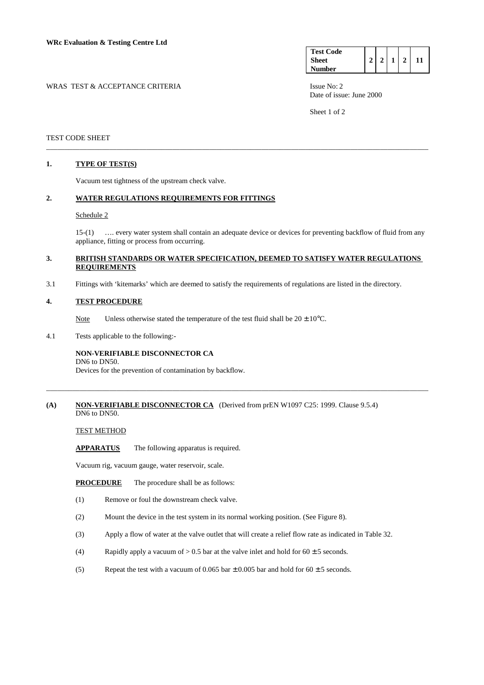| <b>Test Code</b> |   |  |    |
|------------------|---|--|----|
| <b>Sheet</b>     | ኅ |  | 11 |
| Number           |   |  |    |

WRAS TEST & ACCEPTANCE CRITERIA ISSUE No: 2

Date of issue: June 2000

Sheet 1 of 2

## TEST CODE SHEET

## **1. TYPE OF TEST(S)**

Vacuum test tightness of the upstream check valve.

### **2. WATER REGULATIONS REQUIREMENTS FOR FITTINGS**

#### Schedule 2

 15-(1) …. every water system shall contain an adequate device or devices for preventing backflow of fluid from any appliance, fitting or process from occurring.

## **3. BRITISH STANDARDS OR WATER SPECIFICATION, DEEMED TO SATISFY WATER REGULATIONS REQUIREMENTS**

\_\_\_\_\_\_\_\_\_\_\_\_\_\_\_\_\_\_\_\_\_\_\_\_\_\_\_\_\_\_\_\_\_\_\_\_\_\_\_\_\_\_\_\_\_\_\_\_\_\_\_\_\_\_\_\_\_\_\_\_\_\_\_\_\_\_\_\_\_\_\_\_\_\_\_\_\_\_\_\_\_\_\_\_\_\_\_\_\_\_\_\_\_\_\_\_\_\_\_\_\_\_\_

\_\_\_\_\_\_\_\_\_\_\_\_\_\_\_\_\_\_\_\_\_\_\_\_\_\_\_\_\_\_\_\_\_\_\_\_\_\_\_\_\_\_\_\_\_\_\_\_\_\_\_\_\_\_\_\_\_\_\_\_\_\_\_\_\_\_\_\_\_\_\_\_\_\_\_\_\_\_\_\_\_\_\_\_\_\_\_\_\_\_\_\_\_\_\_\_\_\_\_\_\_\_\_

3.1 Fittings with 'kitemarks' which are deemed to satisfy the requirements of regulations are listed in the directory.

#### **4. TEST PROCEDURE**

Note Unless otherwise stated the temperature of the test fluid shall be  $20 \pm 10^{\circ}$ C.

4.1 Tests applicable to the following:-

## **NON-VERIFIABLE DISCONNECTOR CA**

DN6 to DN50.

Devices for the prevention of contamination by backflow.

## **(A) NON-VERIFIABLE DISCONNECTOR CA** (Derived from prEN W1097 C25: 1999. Clause 9.5.4) DN6 to DN50.

#### TEST METHOD

**APPARATUS** The following apparatus is required.

Vacuum rig, vacuum gauge, water reservoir, scale.

**PROCEDURE** The procedure shall be as follows:

- (1) Remove or foul the downstream check valve.
- (2) Mount the device in the test system in its normal working position. (See Figure 8).
- (3) Apply a flow of water at the valve outlet that will create a relief flow rate as indicated in Table 32.
- (4) Rapidly apply a vacuum of  $> 0.5$  bar at the valve inlet and hold for  $60 \pm 5$  seconds.
- (5) Repeat the test with a vacuum of 0.065 bar  $\pm$  0.005 bar and hold for 60  $\pm$  5 seconds.